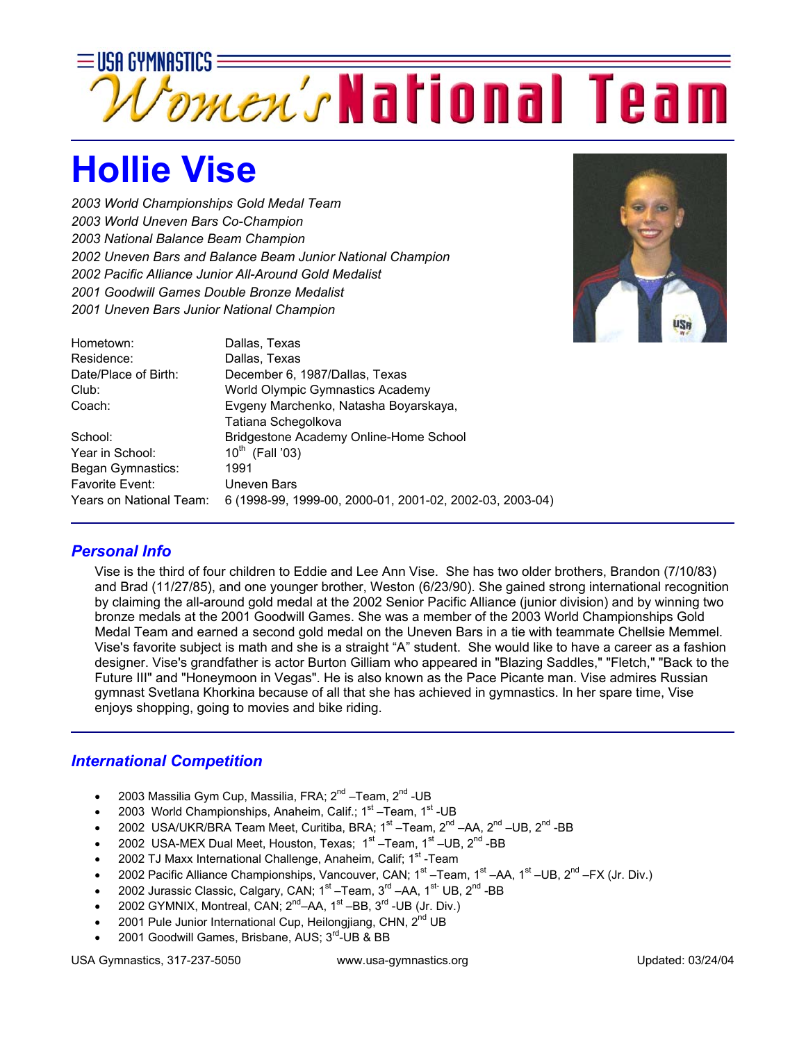

## **Hollie Vise**

*2003 World Championships Gold Medal Team 2003 World Uneven Bars Co-Champion 2003 National Balance Beam Champion 2002 Uneven Bars and Balance Beam Junior National Champion 2002 Pacific Alliance Junior All-Around Gold Medalist 2001 Goodwill Games Double Bronze Medalist 2001 Uneven Bars Junior National Champion*



| Hometown:               | Dallas, Texas                                            |
|-------------------------|----------------------------------------------------------|
| Residence:              | Dallas, Texas                                            |
| Date/Place of Birth:    | December 6, 1987/Dallas, Texas                           |
| Club:                   | World Olympic Gymnastics Academy                         |
| Coach:                  | Evgeny Marchenko, Natasha Boyarskaya,                    |
|                         | Tatiana Schegolkova                                      |
| School:                 | Bridgestone Academy Online-Home School                   |
| Year in School:         | $10^{th}$ (Fall '03)                                     |
| Began Gymnastics:       | 1991                                                     |
| <b>Favorite Event:</b>  | Uneven Bars                                              |
| Years on National Team: | 6 (1998-99, 1999-00, 2000-01, 2001-02, 2002-03, 2003-04) |
|                         |                                                          |

## *Personal Info*

Vise is the third of four children to Eddie and Lee Ann Vise. She has two older brothers, Brandon (7/10/83) and Brad (11/27/85), and one younger brother, Weston (6/23/90). She gained strong international recognition by claiming the all-around gold medal at the 2002 Senior Pacific Alliance (junior division) and by winning two bronze medals at the 2001 Goodwill Games. She was a member of the 2003 World Championships Gold Medal Team and earned a second gold medal on the Uneven Bars in a tie with teammate Chellsie Memmel. Vise's favorite subject is math and she is a straight "A" student. She would like to have a career as a fashion designer. Vise's grandfather is actor Burton Gilliam who appeared in "Blazing Saddles," "Fletch," "Back to the Future III" and "Honeymoon in Vegas". He is also known as the Pace Picante man. Vise admires Russian gymnast Svetlana Khorkina because of all that she has achieved in gymnastics. In her spare time, Vise enjoys shopping, going to movies and bike riding.

## *International Competition*

- 2003 Massilia Gym Cup, Massilia, FRA; 2<sup>nd</sup> –Team, 2<sup>nd</sup> -UB
- 2003 World Championships, Anaheim, Calif.; 1<sup>st</sup> –Team, 1<sup>st</sup> -UB
- 2002 USA/UKR/BRA Team Meet, Curitiba, BRA; 1<sup>st</sup> –Team, 2<sup>nd</sup> –AA, 2<sup>nd</sup> –UB, 2<sup>nd</sup> -BB
- 2002 USA-MEX Dual Meet, Houston, Texas; 1<sup>st</sup> –Team, 1<sup>st</sup> –UB, 2<sup>nd</sup> -BB
- 2002 TJ Maxx International Challenge, Anaheim, Calif; 1<sup>st</sup> -Team
- 2002 Pacific Alliance Championships, Vancouver, CAN;  $1^{st}$  –Team,  $1^{st}$  –AA,  $1^{st}$  –UB,  $2^{nd}$  –FX (Jr. Div.)
- 2002 Jurassic Classic, Calgary, CAN; 1<sup>st</sup> –Team, 3<sup>rd</sup> –AA, 1<sup>st-</sup> UB, 2<sup>nd</sup> -BB
- 2002 GYMNIX, Montreal, CAN;  $2^{nd}$ –AA,  $1^{st}$ –BB,  $3^{rd}$ -UB (Jr. Div.)
- 2001 Pule Junior International Cup, Heilongjiang, CHN,  $2^{nd}$  UB
- 2001 Goodwill Games, Brisbane, AUS; 3<sup>rd</sup>-UB & BB